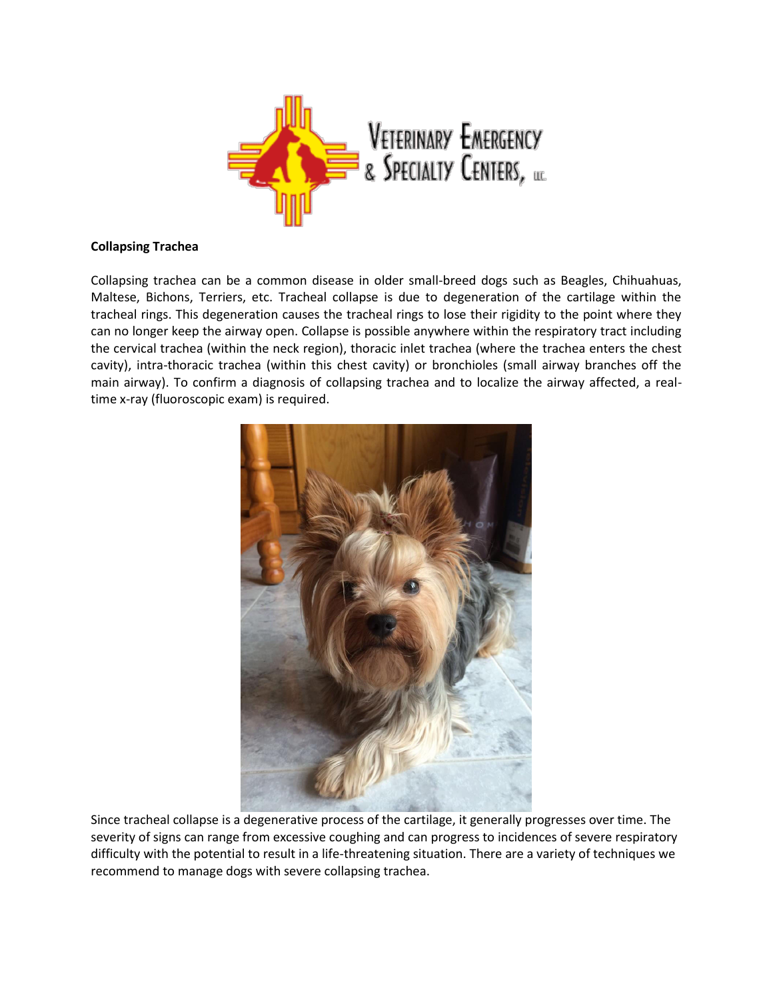

## **Collapsing Trachea**

Collapsing trachea can be a common disease in older small-breed dogs such as Beagles, Chihuahuas, Maltese, Bichons, Terriers, etc. Tracheal collapse is due to degeneration of the cartilage within the tracheal rings. This degeneration causes the tracheal rings to lose their rigidity to the point where they can no longer keep the airway open. Collapse is possible anywhere within the respiratory tract including the cervical trachea (within the neck region), thoracic inlet trachea (where the trachea enters the chest cavity), intra-thoracic trachea (within this chest cavity) or bronchioles (small airway branches off the main airway). To confirm a diagnosis of collapsing trachea and to localize the airway affected, a realtime x-ray (fluoroscopic exam) is required.



Since tracheal collapse is a degenerative process of the cartilage, it generally progresses over time. The severity of signs can range from excessive coughing and can progress to incidences of severe respiratory difficulty with the potential to result in a life-threatening situation. There are a variety of techniques we recommend to manage dogs with severe collapsing trachea.